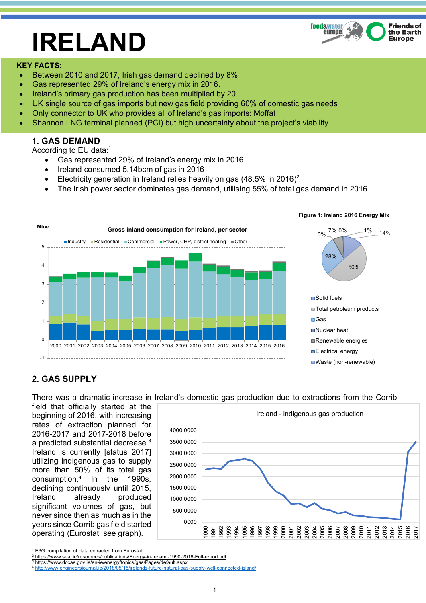# **IRELAND**



#### **KEY FACTS:**

- Between 2010 and 2017, Irish gas demand declined by 8%
- Gas represented 29% of Ireland's energy mix in 2016.
- Ireland's primary gas production has been multiplied by 20.
- UK single source of gas imports but new gas field providing 60% of domestic gas needs
- Only connector to UK who provides all of Ireland's gas imports: Moffat
- Shannon LNG terminal planned (PCI) but high uncertainty about the project's viability

## **1. GAS DEMAND**

According to EU data:<sup>1</sup>

- Gas represented 29% of Ireland's energy mix in 2016.
- Ireland consumed 5.14bcm of gas in 2016
- Electricity generation in Ireland relies heavily on gas  $(48.5\%$  in 2016)<sup>2</sup>
- The Irish power sector dominates gas demand, utilising 55% of total gas demand in 2016.



# **2. GAS SUPPLY**

There was a dramatic increase in Ireland's domestic gas production due to extractions from the Corrib

field that officially started at the beginning of 2016, with increasing rates of extraction planned for 2016-2017 and 2017-2018 before a predicted substantial decrease.<sup>3</sup> Ireland is currently [status 2017] utilizing indigenous gas to supply more than 50% of its total gas consumption.4 In the 1990s, declining continuously until 2015, Ireland already produced significant volumes of gas, but never since then as much as in the years since Corrib gas field started operating (Eurostat, see graph).



1 E3G compilation of data extracted from Eurostat

<sup>2</sup> https://www.seai.ie/resources/publications/Energy-in-Ireland-1990-2016-Full-report.pdf

<sup>3</sup> https://www.dccae.gov.ie/en-ie/energy/topics/gas/Pages/default.aspx

<sup>4</sup> http://www.engineersjournal.ie/2018/05/15/irelands-future-natural-gas-supply-well-connected-island/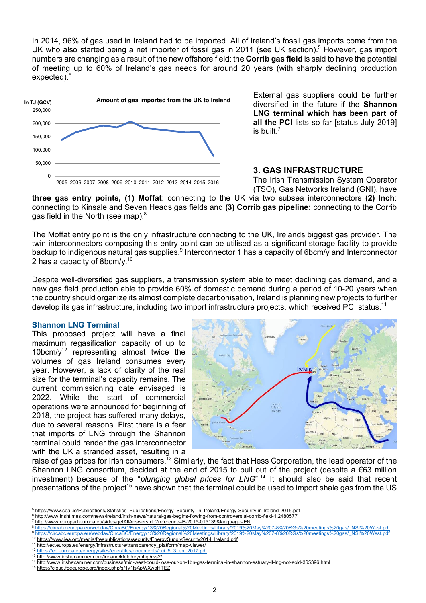In 2014, 96% of gas used in Ireland had to be imported. All of Ireland's fossil gas imports come from the UK who also started being a net importer of fossil gas in 2011 (see UK section).<sup>5</sup> However, gas import numbers are changing as a result of the new offshore field: the **Corrib gas field** is said to have the potential of meeting up to 60% of Ireland's gas needs for around 20 years (with sharply declining production expected). 6



External gas suppliers could be further diversified in the future if the **Shannon LNG terminal which has been part of all the PCI** lists so far [status July 2019] is built  $<sup>7</sup>$ </sup>

### **3. GAS INFRASTRUCTURE**

The Irish Transmission System Operator (TSO), Gas Networks Ireland (GNI), have

**three gas entry points, (1) Moffat**: connecting to the UK via two subsea interconnectors **(2) Inch**: connecting to Kinsale and Seven Heads gas fields and **(3) Corrib gas pipeline:** connecting to the Corrib gas field in the North (see map).<sup>8</sup>

The Moffat entry point is the only infrastructure connecting to the UK, Irelands biggest gas provider. The twin interconnectors composing this entry point can be utilised as a significant storage facility to provide backup to indigenous natural gas supplies.<sup>9</sup> Interconnector 1 has a capacity of 6bcm/y and Interconnector 2 has a capacity of 8bcm/y.10

Despite well-diversified gas suppliers, a transmission system able to meet declining gas demand, and a new gas field production able to provide 60% of domestic demand during a period of 10-20 years when the country should organize its almost complete decarbonisation, Ireland is planning new projects to further develop its gas infrastructure, including two import infrastructure projects, which received PCI status.<sup>11</sup>

### **Shannon LNG Terminal**

This proposed project will have a final maximum regasification capacity of up to 10bcm/ $v^{12}$  representing almost twice the volumes of gas Ireland consumes every year. However, a lack of clarity of the real size for the terminal's capacity remains. The current commissioning date envisaged is 2022. While the start of commercial operations were announced for beginning of 2018, the project has suffered many delays, due to several reasons. First there is a fear that imports of LNG through the Shannon terminal could render the gas interconnector with the UK a stranded asset, resulting in a



raise of gas prices for Irish consumers.<sup>13</sup> Similarly, the fact that Hess Corporation, the lead operator of the Shannon LNG consortium, decided at the end of 2015 to pull out of the project (despite a €63 million investment) because of the "*plunging global prices for LNG*".14 It should also be said that recent presentations of the project<sup>15</sup> have shown that the terminal could be used to import shale gas from the US

<sup>10</sup> https://www.iea.org/media/freepublications/security/EnergySupplySecurity2014\_Ireland.pdf

<sup>5</sup> https://www.seai.ie/Publications/Statistics\_Publications/Energy\_Security\_in\_Ireland/Energy-Security-in-Ireland-2015.pdf

<sup>6</sup> http://www.irishtimes.com/news/ireland/irish-news/natural-gas-begins-flowing-from-controversial-corrib-field-1.2480577 <sup>7</sup> http://www.europarl.europa.eu/sides/getAllAnswers.do?reference=E-2015-015139&language=EN

<sup>8</sup> https://circabc.europa.eu/webdav/CircaBC/Energy/13%20Regional%20Meetings/Library/2019%20May%207-8%20RGs%20meetings%20gas/\_NSI%20West.pdf <sup>9</sup> https://circabc.europa.eu/webdav/CircaBC/Energy/13%20Regional%20Meetings/Library/2019%20May%207-8%20RGs%20meetings%20gas/\_NSI%20West.pdf

<sup>11</sup> http://ec.europa.eu/energy/infrastructure/transparency\_platform/map-viewer/<br>12 https://ec.europa.eu/energy/infrastructure/transparency\_platform/map-viewer/

https://ec.europa.eu/energy/sites/ener/files/documents/pci\_5\_3\_en\_2017.pdf

<sup>13</sup> http://www.irishexaminer.com/ireland/kfqlgbeymhql/rss2/

<sup>14</sup> http://www.irishexaminer.com/business/mid-west-could-lose-out-on-1bn-gas-terminal-in-shannon-estuary-if-lng-not-sold-365396.html

<sup>15</sup> https://cloud.foeeurope.org/index.php/s/1v1lsApWXwpHTEZ